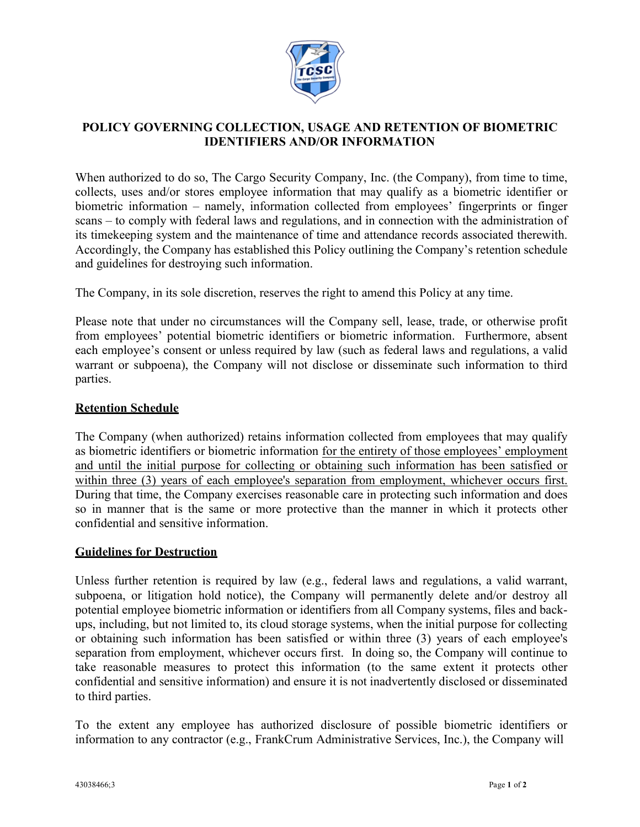

## **POLICY GOVERNING COLLECTION, USAGE AND RETENTION OF BIOMETRIC IDENTIFIERS AND/OR INFORMATION**

When authorized to do so, The Cargo Security Company, Inc. (the Company), from time to time, collects, uses and/or stores employee information that may qualify as a biometric identifier or biometric information – namely, information collected from employees' fingerprints or finger scans – to comply with federal laws and regulations, and in connection with the administration of its timekeeping system and the maintenance of time and attendance records associated therewith. Accordingly, the Company has established this Policy outlining the Company's retention schedule and guidelines for destroying such information.

The Company, in its sole discretion, reserves the right to amend this Policy at any time.

Please note that under no circumstances will the Company sell, lease, trade, or otherwise profit from employees' potential biometric identifiers or biometric information. Furthermore, absent each employee's consent or unless required by law (such as federal laws and regulations, a valid warrant or subpoena), the Company will not disclose or disseminate such information to third parties.

## **Retention Schedule**

The Company (when authorized) retains information collected from employees that may qualify as biometric identifiers or biometric information for the entirety of those employees' employment and until the initial purpose for collecting or obtaining such information has been satisfied or within three (3) years of each employee's separation from employment, whichever occurs first. During that time, the Company exercises reasonable care in protecting such information and does so in manner that is the same or more protective than the manner in which it protects other confidential and sensitive information.

## **Guidelines for Destruction**

Unless further retention is required by law (e.g., federal laws and regulations, a valid warrant, subpoena, or litigation hold notice), the Company will permanently delete and/or destroy all potential employee biometric information or identifiers from all Company systems, files and backups, including, but not limited to, its cloud storage systems, when the initial purpose for collecting or obtaining such information has been satisfied or within three (3) years of each employee's separation from employment, whichever occurs first. In doing so, the Company will continue to take reasonable measures to protect this information (to the same extent it protects other confidential and sensitive information) and ensure it is not inadvertently disclosed or disseminated to third parties.

To the extent any employee has authorized disclosure of possible biometric identifiers or information to any contractor (e.g., FrankCrum Administrative Services, Inc.), the Company will